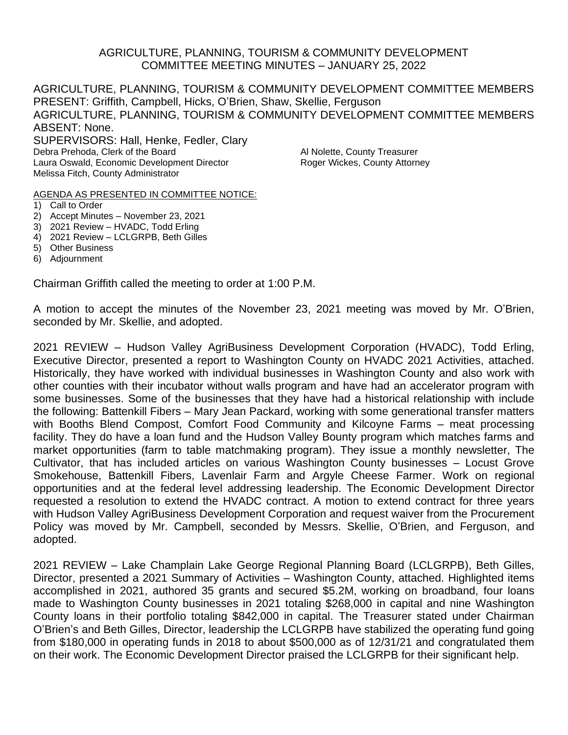### AGRICULTURE, PLANNING, TOURISM & COMMUNITY DEVELOPMENT COMMITTEE MEETING MINUTES – JANUARY 25, 2022

AGRICULTURE, PLANNING, TOURISM & COMMUNITY DEVELOPMENT COMMITTEE MEMBERS PRESENT: Griffith, Campbell, Hicks, O'Brien, Shaw, Skellie, Ferguson AGRICULTURE, PLANNING, TOURISM & COMMUNITY DEVELOPMENT COMMITTEE MEMBERS ABSENT: None. SUPERVISORS: Hall, Henke, Fedler, Clary Debra Prehoda, Clerk of the Board Al Nolette, County Treasurer Laura Oswald, Economic Development Director Roger Wickes, County Attorney Melissa Fitch, County Administrator

AGENDA AS PRESENTED IN COMMITTEE NOTICE:

- 1) Call to Order
- 2) Accept Minutes November 23, 2021
- 3) 2021 Review HVADC, Todd Erling
- 4) 2021 Review LCLGRPB, Beth Gilles
- 5) Other Business
- 6) Adjournment

Chairman Griffith called the meeting to order at 1:00 P.M.

A motion to accept the minutes of the November 23, 2021 meeting was moved by Mr. O'Brien, seconded by Mr. Skellie, and adopted.

2021 REVIEW – Hudson Valley AgriBusiness Development Corporation (HVADC), Todd Erling, Executive Director, presented a report to Washington County on HVADC 2021 Activities, attached. Historically, they have worked with individual businesses in Washington County and also work with other counties with their incubator without walls program and have had an accelerator program with some businesses. Some of the businesses that they have had a historical relationship with include the following: Battenkill Fibers – Mary Jean Packard, working with some generational transfer matters with Booths Blend Compost, Comfort Food Community and Kilcoyne Farms – meat processing facility. They do have a loan fund and the Hudson Valley Bounty program which matches farms and market opportunities (farm to table matchmaking program). They issue a monthly newsletter, The Cultivator, that has included articles on various Washington County businesses – Locust Grove Smokehouse, Battenkill Fibers, Lavenlair Farm and Argyle Cheese Farmer. Work on regional opportunities and at the federal level addressing leadership. The Economic Development Director requested a resolution to extend the HVADC contract. A motion to extend contract for three years with Hudson Valley AgriBusiness Development Corporation and request waiver from the Procurement Policy was moved by Mr. Campbell, seconded by Messrs. Skellie, O'Brien, and Ferguson, and adopted.

2021 REVIEW – Lake Champlain Lake George Regional Planning Board (LCLGRPB), Beth Gilles, Director, presented a 2021 Summary of Activities – Washington County, attached. Highlighted items accomplished in 2021, authored 35 grants and secured \$5.2M, working on broadband, four loans made to Washington County businesses in 2021 totaling \$268,000 in capital and nine Washington County loans in their portfolio totaling \$842,000 in capital. The Treasurer stated under Chairman O'Brien's and Beth Gilles, Director, leadership the LCLGRPB have stabilized the operating fund going from \$180,000 in operating funds in 2018 to about \$500,000 as of 12/31/21 and congratulated them on their work. The Economic Development Director praised the LCLGRPB for their significant help.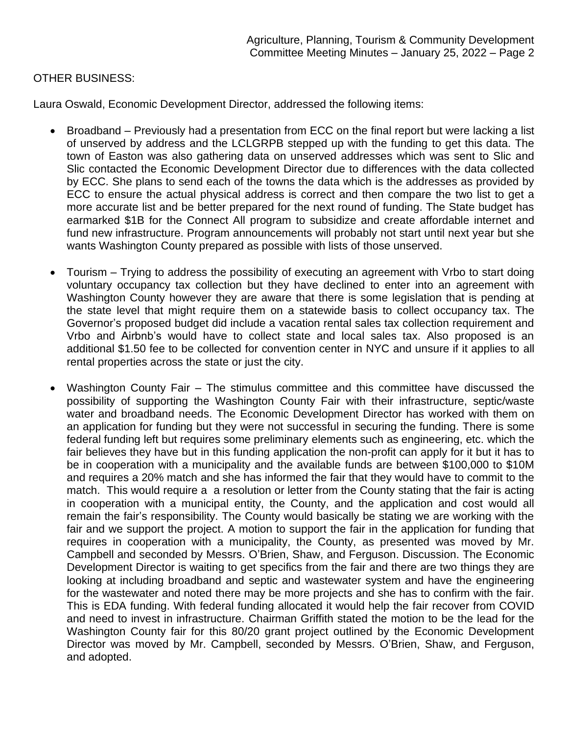# OTHER BUSINESS:

Laura Oswald, Economic Development Director, addressed the following items:

- Broadband Previously had a presentation from ECC on the final report but were lacking a list of unserved by address and the LCLGRPB stepped up with the funding to get this data. The town of Easton was also gathering data on unserved addresses which was sent to Slic and Slic contacted the Economic Development Director due to differences with the data collected by ECC. She plans to send each of the towns the data which is the addresses as provided by ECC to ensure the actual physical address is correct and then compare the two list to get a more accurate list and be better prepared for the next round of funding. The State budget has earmarked \$1B for the Connect All program to subsidize and create affordable internet and fund new infrastructure. Program announcements will probably not start until next year but she wants Washington County prepared as possible with lists of those unserved.
- Tourism Trying to address the possibility of executing an agreement with Vrbo to start doing voluntary occupancy tax collection but they have declined to enter into an agreement with Washington County however they are aware that there is some legislation that is pending at the state level that might require them on a statewide basis to collect occupancy tax. The Governor's proposed budget did include a vacation rental sales tax collection requirement and Vrbo and Airbnb's would have to collect state and local sales tax. Also proposed is an additional \$1.50 fee to be collected for convention center in NYC and unsure if it applies to all rental properties across the state or just the city.
- Washington County Fair The stimulus committee and this committee have discussed the possibility of supporting the Washington County Fair with their infrastructure, septic/waste water and broadband needs. The Economic Development Director has worked with them on an application for funding but they were not successful in securing the funding. There is some federal funding left but requires some preliminary elements such as engineering, etc. which the fair believes they have but in this funding application the non-profit can apply for it but it has to be in cooperation with a municipality and the available funds are between \$100,000 to \$10M and requires a 20% match and she has informed the fair that they would have to commit to the match. This would require a a resolution or letter from the County stating that the fair is acting in cooperation with a municipal entity, the County, and the application and cost would all remain the fair's responsibility. The County would basically be stating we are working with the fair and we support the project. A motion to support the fair in the application for funding that requires in cooperation with a municipality, the County, as presented was moved by Mr. Campbell and seconded by Messrs. O'Brien, Shaw, and Ferguson. Discussion. The Economic Development Director is waiting to get specifics from the fair and there are two things they are looking at including broadband and septic and wastewater system and have the engineering for the wastewater and noted there may be more projects and she has to confirm with the fair. This is EDA funding. With federal funding allocated it would help the fair recover from COVID and need to invest in infrastructure. Chairman Griffith stated the motion to be the lead for the Washington County fair for this 80/20 grant project outlined by the Economic Development Director was moved by Mr. Campbell, seconded by Messrs. O'Brien, Shaw, and Ferguson, and adopted.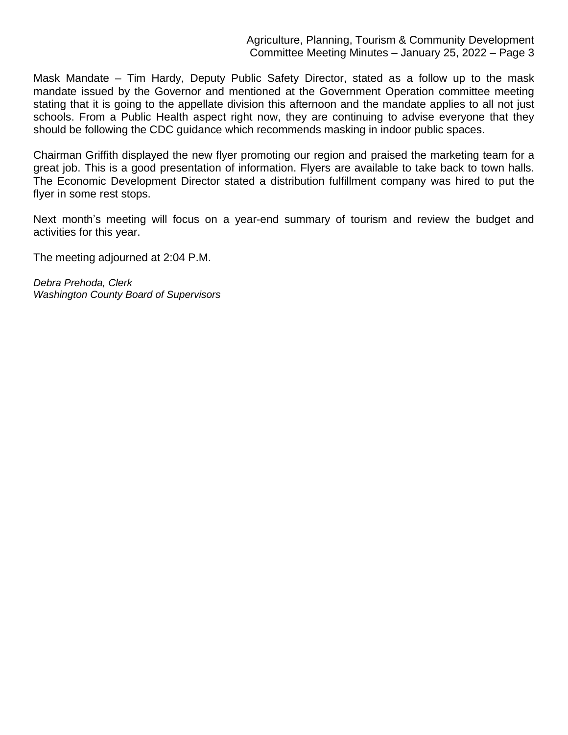#### Agriculture, Planning, Tourism & Community Development Committee Meeting Minutes – January 25, 2022 – Page 3

Mask Mandate – Tim Hardy, Deputy Public Safety Director, stated as a follow up to the mask mandate issued by the Governor and mentioned at the Government Operation committee meeting stating that it is going to the appellate division this afternoon and the mandate applies to all not just schools. From a Public Health aspect right now, they are continuing to advise everyone that they should be following the CDC guidance which recommends masking in indoor public spaces.

Chairman Griffith displayed the new flyer promoting our region and praised the marketing team for a great job. This is a good presentation of information. Flyers are available to take back to town halls. The Economic Development Director stated a distribution fulfillment company was hired to put the flyer in some rest stops.

Next month's meeting will focus on a year-end summary of tourism and review the budget and activities for this year.

The meeting adjourned at 2:04 P.M.

*Debra Prehoda, Clerk Washington County Board of Supervisors*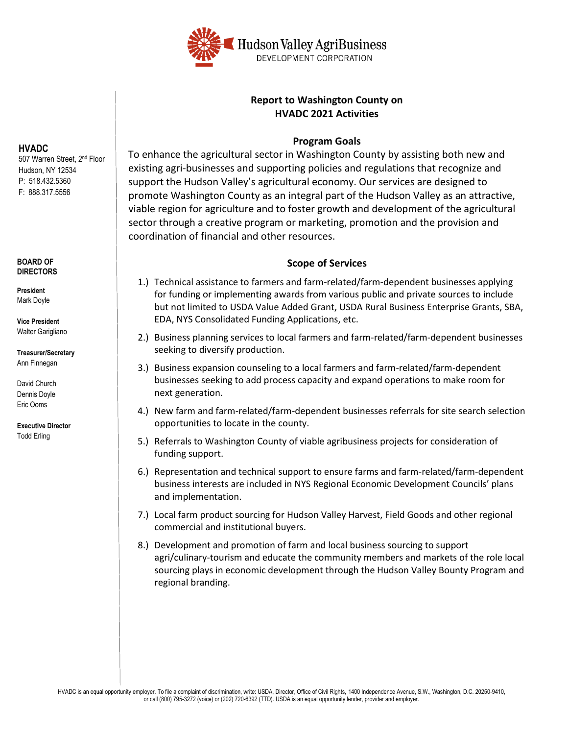

### **Report to Washington County on HVADC 2021 Activities**

#### **Program Goals**

To enhance the agricultural sector in Washington County by assisting both new and existing agri-businesses and supporting policies and regulations that recognize and support the Hudson Valley's agricultural economy. Our services are designed to promote Washington County as an integral part of the Hudson Valley as an attractive, viable region for agriculture and to foster growth and development of the agricultural sector through a creative program or marketing, promotion and the provision and coordination of financial and other resources.

### **Scope of Services**

- 1.) Technical assistance to farmers and farm-related/farm-dependent businesses applying for funding or implementing awards from various public and private sources to include but not limited to USDA Value Added Grant, USDA Rural Business Enterprise Grants, SBA, EDA, NYS Consolidated Funding Applications, etc.
- 2.) Business planning services to local farmers and farm-related/farm-dependent businesses seeking to diversify production.
- 3.) Business expansion counseling to a local farmers and farm-related/farm-dependent businesses seeking to add process capacity and expand operations to make room for next generation.
- 4.) New farm and farm-related/farm-dependent businesses referrals for site search selection opportunities to locate in the county.
- 5.) Referrals to Washington County of viable agribusiness projects for consideration of funding support.
- 6.) Representation and technical support to ensure farms and farm-related/farm-dependent business interests are included in NYS Regional Economic Development Councils' plans and implementation.
- 7.) Local farm product sourcing for Hudson Valley Harvest, Field Goods and other regional commercial and institutional buyers.
- 8.) Development and promotion of farm and local business sourcing to support agri/culinary-tourism and educate the community members and markets of the role local sourcing plays in economic development through the Hudson Valley Bounty Program and regional branding.

**HVADC**  507 Warren Street, 2<sup>nd</sup> Floor Hudson, NY 12534 P: 518.432.5360 F: 888.317.5556

#### **BOARD OF DIRECTORS**

**President** Mark Doyle

**Vice President** Walter Garigliano

**Treasurer/Secretary** Ann Finnegan

David Church Dennis Doyle Eric Ooms

**Executive Director** Todd Erling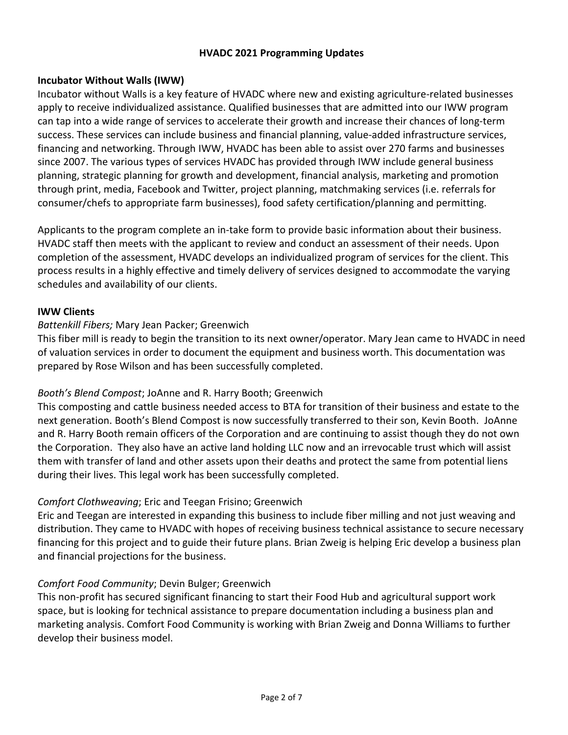### **HVADC 2021 Programming Updates**

### **Incubator Without Walls (IWW)**

Incubator without Walls is a key feature of HVADC where new and existing agriculture-related businesses apply to receive individualized assistance. Qualified businesses that are admitted into our IWW program can tap into a wide range of services to accelerate their growth and increase their chances of long-term success. These services can include business and financial planning, value-added infrastructure services, financing and networking. Through IWW, HVADC has been able to assist over 270 farms and businesses since 2007. The various types of services HVADC has provided through IWW include general business planning, strategic planning for growth and development, financial analysis, marketing and promotion through print, media, Facebook and Twitter, project planning, matchmaking services (i.e. referrals for consumer/chefs to appropriate farm businesses), food safety certification/planning and permitting.

Applicants to the program complete an in-take form to provide basic information about their business. HVADC staff then meets with the applicant to review and conduct an assessment of their needs. Upon completion of the assessment, HVADC develops an individualized program of services for the client. This process results in a highly effective and timely delivery of services designed to accommodate the varying schedules and availability of our clients.

### **IWW Clients**

### *Battenkill Fibers;* Mary Jean Packer; Greenwich

This fiber mill is ready to begin the transition to its next owner/operator. Mary Jean came to HVADC in need of valuation services in order to document the equipment and business worth. This documentation was prepared by Rose Wilson and has been successfully completed.

### *Booth's Blend Compost*; JoAnne and R. Harry Booth; Greenwich

This composting and cattle business needed access to BTA for transition of their business and estate to the next generation. Booth's Blend Compost is now successfully transferred to their son, Kevin Booth. JoAnne and R. Harry Booth remain officers of the Corporation and are continuing to assist though they do not own the Corporation. They also have an active land holding LLC now and an irrevocable trust which will assist them with transfer of land and other assets upon their deaths and protect the same from potential liens during their lives. This legal work has been successfully completed.

### *Comfort Clothweaving*; Eric and Teegan Frisino; Greenwich

Eric and Teegan are interested in expanding this business to include fiber milling and not just weaving and distribution. They came to HVADC with hopes of receiving business technical assistance to secure necessary financing for this project and to guide their future plans. Brian Zweig is helping Eric develop a business plan and financial projections for the business.

### *Comfort Food Community*; Devin Bulger; Greenwich

This non-profit has secured significant financing to start their Food Hub and agricultural support work space, but is looking for technical assistance to prepare documentation including a business plan and marketing analysis. Comfort Food Community is working with Brian Zweig and Donna Williams to further develop their business model.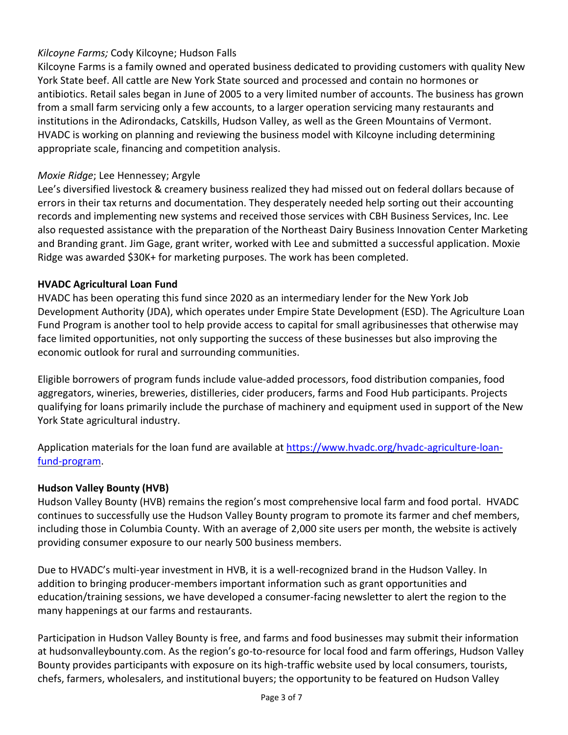# *Kilcoyne Farms;* Cody Kilcoyne; Hudson Falls

Kilcoyne Farms is a family owned and operated business dedicated to providing customers with quality New York State beef. All cattle are New York State sourced and processed and contain no hormones or antibiotics. Retail sales began in June of 2005 to a very limited number of accounts. The business has grown from a small farm servicing only a few accounts, to a larger operation servicing many restaurants and institutions in the Adirondacks, Catskills, Hudson Valley, as well as the Green Mountains of Vermont. HVADC is working on planning and reviewing the business model with Kilcoyne including determining appropriate scale, financing and competition analysis.

### *Moxie Ridge*; Lee Hennessey; Argyle

Lee's diversified livestock & creamery business realized they had missed out on federal dollars because of errors in their tax returns and documentation. They desperately needed help sorting out their accounting records and implementing new systems and received those services with CBH Business Services, Inc. Lee also requested assistance with the preparation of the Northeast Dairy Business Innovation Center Marketing and Branding grant. Jim Gage, grant writer, worked with Lee and submitted a successful application. Moxie Ridge was awarded \$30K+ for marketing purposes. The work has been completed.

### **HVADC Agricultural Loan Fund**

HVADC has been operating this fund since 2020 as an intermediary lender for the New York Job Development Authority (JDA), which operates under Empire State Development (ESD). The Agriculture Loan Fund Program is another tool to help provide access to capital for small agribusinesses that otherwise may face limited opportunities, not only supporting the success of these businesses but also improving the economic outlook for rural and surrounding communities.

Eligible borrowers of program funds include value-added processors, food distribution companies, food aggregators, wineries, breweries, distilleries, cider producers, farms and Food Hub participants. Projects qualifying for loans primarily include the purchase of machinery and equipment used in support of the New York State agricultural industry.

Application materials for the loan fund are available at [https://www.hvadc.org/hvadc-agriculture-loan](https://www.hvadc.org/hvadc-agriculture-loan-fund-program)[fund-program.](https://www.hvadc.org/hvadc-agriculture-loan-fund-program)

### **Hudson Valley Bounty (HVB)**

Hudson Valley Bounty (HVB) remains the region's most comprehensive local farm and food portal. HVADC continues to successfully use the Hudson Valley Bounty program to promote its farmer and chef members, including those in Columbia County. With an average of 2,000 site users per month, the website is actively providing consumer exposure to our nearly 500 business members.

Due to HVADC's multi-year investment in HVB, it is a well-recognized brand in the Hudson Valley. In addition to bringing producer-members important information such as grant opportunities and education/training sessions, we have developed a consumer-facing newsletter to alert the region to the many happenings at our farms and restaurants.

Participation in Hudson Valley Bounty is free, and farms and food businesses may submit their information at hudsonvalleybounty.com. As the region's go-to-resource for local food and farm offerings, Hudson Valley Bounty provides participants with exposure on its high-traffic website used by local consumers, tourists, chefs, farmers, wholesalers, and institutional buyers; the opportunity to be featured on Hudson Valley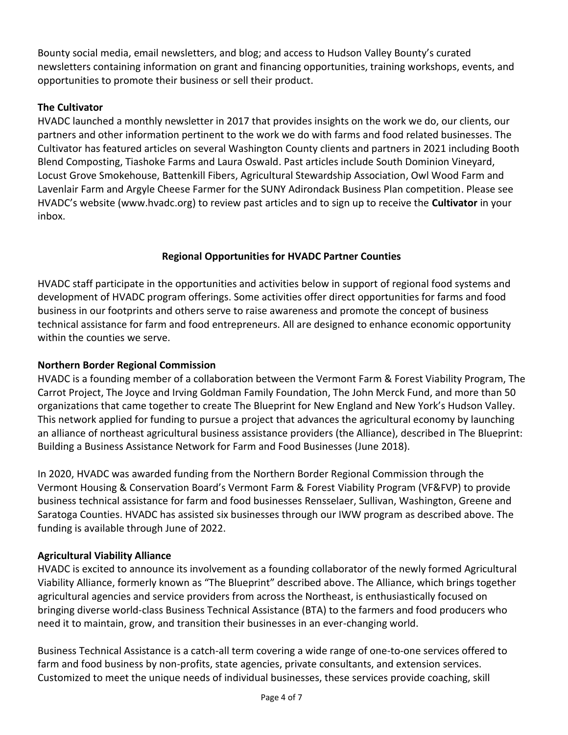Bounty social media, email newsletters, and blog; and access to Hudson Valley Bounty's curated newsletters containing information on grant and financing opportunities, training workshops, events, and opportunities to promote their business or sell their product.

# **The Cultivator**

HVADC launched a monthly newsletter in 2017 that provides insights on the work we do, our clients, our partners and other information pertinent to the work we do with farms and food related businesses. The Cultivator has featured articles on several Washington County clients and partners in 2021 including Booth Blend Composting, Tiashoke Farms and Laura Oswald. Past articles include South Dominion Vineyard, Locust Grove Smokehouse, Battenkill Fibers, Agricultural Stewardship Association, Owl Wood Farm and Lavenlair Farm and Argyle Cheese Farmer for the SUNY Adirondack Business Plan competition. Please see HVADC's website ([www.hvadc.org\)](http://www.hvadc.org/) to review past articles and to sign up to receive the **Cultivator** in your inbox.

# **Regional Opportunities for HVADC Partner Counties**

HVADC staff participate in the opportunities and activities below in support of regional food systems and development of HVADC program offerings. Some activities offer direct opportunities for farms and food business in our footprints and others serve to raise awareness and promote the concept of business technical assistance for farm and food entrepreneurs. All are designed to enhance economic opportunity within the counties we serve.

# **Northern Border Regional Commission**

HVADC is a founding member of a collaboration between the Vermont Farm & Forest Viability Program, The Carrot Project, The Joyce and Irving Goldman Family Foundation, The John Merck Fund, and more than 50 organizations that came together to create The Blueprint for New England and New York's Hudson Valley. This network applied for funding to pursue a project that advances the agricultural economy by launching an alliance of northeast agricultural business assistance providers (the Alliance), described in The Blueprint: Building a Business Assistance Network for Farm and Food Businesses (June 2018).

In 2020, HVADC was awarded funding from the Northern Border Regional Commission through the Vermont Housing & Conservation Board's Vermont Farm & Forest Viability Program (VF&FVP) to provide business technical assistance for farm and food businesses Rensselaer, Sullivan, Washington, Greene and Saratoga Counties. HVADC has assisted six businesses through our IWW program as described above. The funding is available through June of 2022.

# **Agricultural Viability Alliance**

HVADC is excited to announce its involvement as a founding collaborator of the newly formed Agricultural Viability Alliance, formerly known as "The Blueprint" described above. The Alliance, which brings together agricultural agencies and service providers from across the Northeast, is enthusiastically focused on bringing diverse world-class Business Technical Assistance (BTA) to the farmers and food producers who need it to maintain, grow, and transition their businesses in an ever-changing world.

Business Technical Assistance is a catch-all term covering a wide range of one-to-one services offered to farm and food business by non-profits, state agencies, private consultants, and extension services. Customized to meet the unique needs of individual businesses, these services provide coaching, skill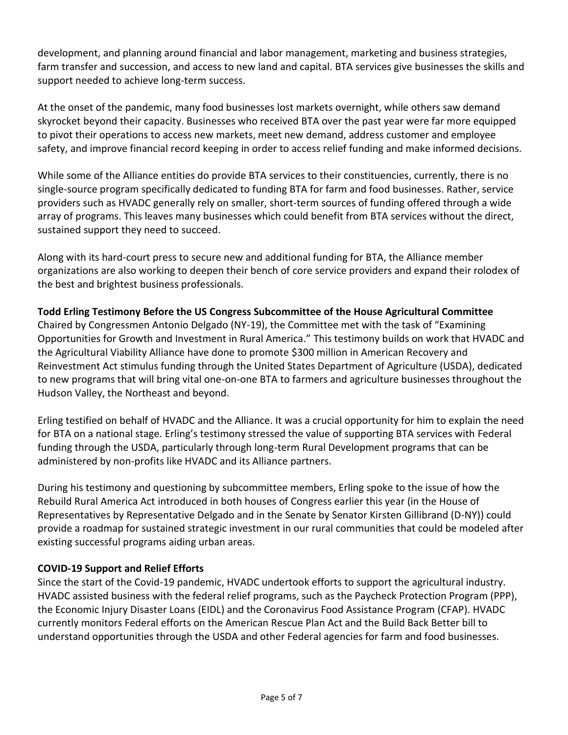development, and planning around financial and labor management, marketing and business strategies, farm transfer and succession, and access to new land and capital. BTA services give businesses the skills and support needed to achieve long-term success.

At the onset of the pandemic, many food businesses lost markets overnight, while others saw demand skyrocket beyond their capacity. Businesses who received BTA over the past year were far more equipped to pivot their operations to access new markets, meet new demand, address customer and employee safety, and improve financial record keeping in order to access relief funding and make informed decisions.

While some of the Alliance entities do provide BTA services to their constituencies, currently, there is no single-source program specifically dedicated to funding BTA for farm and food businesses. Rather, service providers such as HVADC generally rely on smaller, short-term sources of funding offered through a wide array of programs. This leaves many businesses which could benefit from BTA services without the direct, sustained support they need to succeed.

Along with its hard-court press to secure new and additional funding for BTA, the Alliance member organizations are also working to deepen their bench of core service providers and expand their rolodex of the best and brightest business professionals.

# **Todd Erling Testimony Before the US Congress Subcommittee of the House Agricultural Committee**

Chaired by Congressmen Antonio Delgado (NY-19), the Committee met with the task of "Examining Opportunities for Growth and Investment in Rural America." This testimony builds on work that HVADC and the Agricultural Viability Alliance have done to promote \$300 million in American Recovery and Reinvestment Act stimulus funding through the United States Department of Agriculture (USDA), dedicated to new programs that will bring vital one-on-one BTA to farmers and agriculture businesses throughout the Hudson Valley, the Northeast and beyond.

Erling testified on behalf of HVADC and the Alliance. It was a crucial opportunity for him to explain the need for BTA on a national stage. Erling's testimony stressed the value of supporting BTA services with Federal funding through the USDA, particularly through long-term Rural Development programs that can be administered by non-profits like HVADC and its Alliance partners.

During his testimony and questioning by subcommittee members, Erling spoke to the issue of how the Rebuild Rural America Act introduced in both houses of Congress earlier this year (in the House of Representatives by Representative Delgado and in the Senate by Senator Kirsten Gillibrand (D-NY)) could provide a roadmap for sustained strategic investment in our rural communities that could be modeled after existing successful programs aiding urban areas.

### **COVID-19 Support and Relief Efforts**

Since the start of the Covid-19 pandemic, HVADC undertook efforts to support the agricultural industry. HVADC assisted business with the federal relief programs, such as the Paycheck Protection Program (PPP), the Economic Injury Disaster Loans (EIDL) and the Coronavirus Food Assistance Program (CFAP). HVADC currently monitors Federal efforts on the American Rescue Plan Act and the Build Back Better bill to understand opportunities through the USDA and other Federal agencies for farm and food businesses.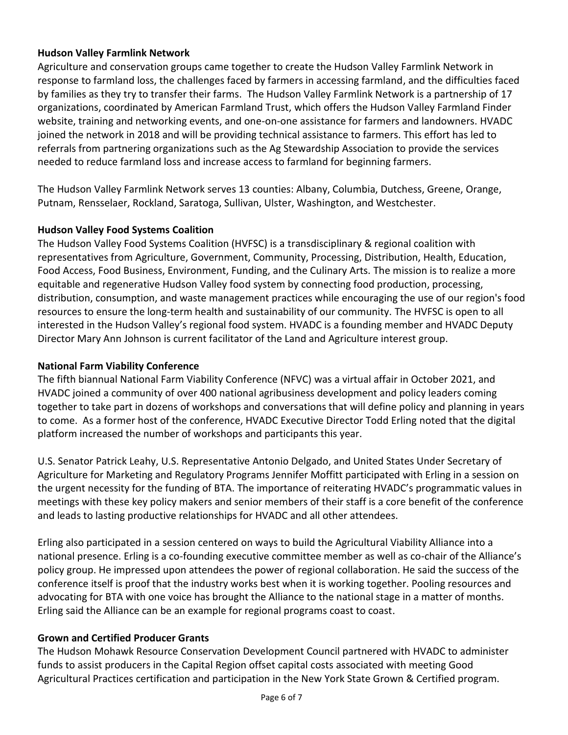### **Hudson Valley Farmlink Network**

Agriculture and conservation groups came together to create the Hudson Valley Farmlink Network in response to farmland loss, the challenges faced by farmers in accessing farmland, and the difficulties faced by families as they try to transfer their farms. The Hudson Valley Farmlink Network is a partnership of 17 organizations, coordinated by American Farmland Trust, which offers the Hudson Valley Farmland Finder website, training and networking events, and one-on-one assistance for farmers and landowners. HVADC joined the network in 2018 and will be providing technical assistance to farmers. This effort has led to referrals from partnering organizations such as the Ag Stewardship Association to provide the services needed to reduce farmland loss and increase access to farmland for beginning farmers.

The Hudson Valley Farmlink Network serves 13 counties: Albany, Columbia, Dutchess, Greene, Orange, Putnam, Rensselaer, Rockland, Saratoga, Sullivan, Ulster, Washington, and Westchester.

### **Hudson Valley Food Systems Coalition**

The Hudson Valley Food Systems Coalition (HVFSC) is a transdisciplinary & regional coalition with representatives from Agriculture, Government, Community, Processing, Distribution, Health, Education, Food Access, Food Business, Environment, Funding, and the Culinary Arts. The mission is to realize a more equitable and regenerative Hudson Valley food system by connecting food production, processing, distribution, consumption, and waste management practices while encouraging the use of our region's food resources to ensure the long-term health and sustainability of our community. The HVFSC is open to all interested in the Hudson Valley's regional food system. HVADC is a founding member and HVADC Deputy Director Mary Ann Johnson is current facilitator of the Land and Agriculture interest group.

### **National Farm Viability Conference**

The fifth biannual National Farm Viability Conference (NFVC) was a virtual affair in October 2021, and HVADC joined a community of over 400 national agribusiness development and policy leaders coming together to take part in dozens of workshops and conversations that will define policy and planning in years to come. As a former host of the conference, HVADC Executive Director Todd Erling noted that the digital platform increased the number of workshops and participants this year.

U.S. Senator Patrick Leahy, U.S. Representative Antonio Delgado, and United States Under Secretary of Agriculture for Marketing and Regulatory Programs Jennifer Moffitt participated with Erling in a session on the urgent necessity for the funding of BTA. The importance of reiterating HVADC's programmatic values in meetings with these key policy makers and senior members of their staff is a core benefit of the conference and leads to lasting productive relationships for HVADC and all other attendees.

Erling also participated in a session centered on ways to build the Agricultural Viability Alliance into a national presence. Erling is a co-founding executive committee member as well as co-chair of the Alliance's policy group. He impressed upon attendees the power of regional collaboration. He said the success of the conference itself is proof that the industry works best when it is working together. Pooling resources and advocating for BTA with one voice has brought the Alliance to the national stage in a matter of months. Erling said the Alliance can be an example for regional programs coast to coast.

### **Grown and Certified Producer Grants**

The Hudson Mohawk Resource Conservation Development Council partnered with HVADC to administer funds to assist producers in the Capital Region offset capital costs associated with meeting Good Agricultural Practices certification and participation in the New York State Grown & Certified program.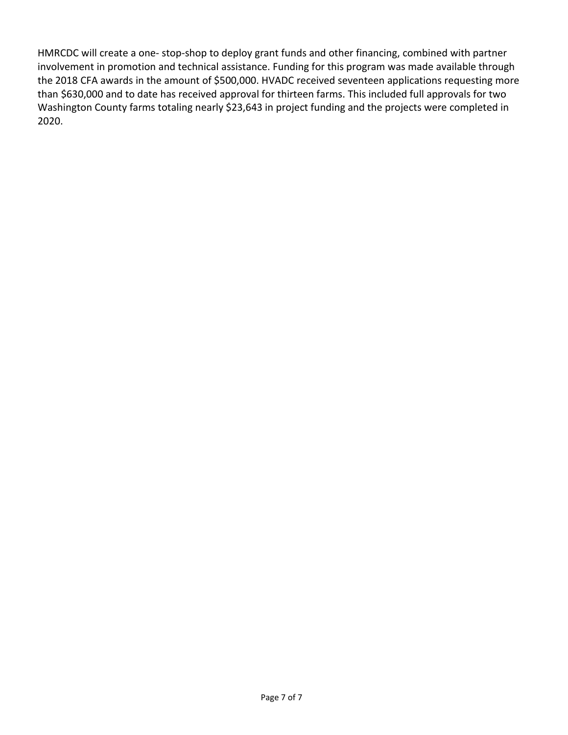HMRCDC will create a one- stop-shop to deploy grant funds and other financing, combined with partner involvement in promotion and technical assistance. Funding for this program was made available through the 2018 CFA awards in the amount of \$500,000. HVADC received seventeen applications requesting more than \$630,000 and to date has received approval for thirteen farms. This included full approvals for two Washington County farms totaling nearly \$23,643 in project funding and the projects were completed in 2020.